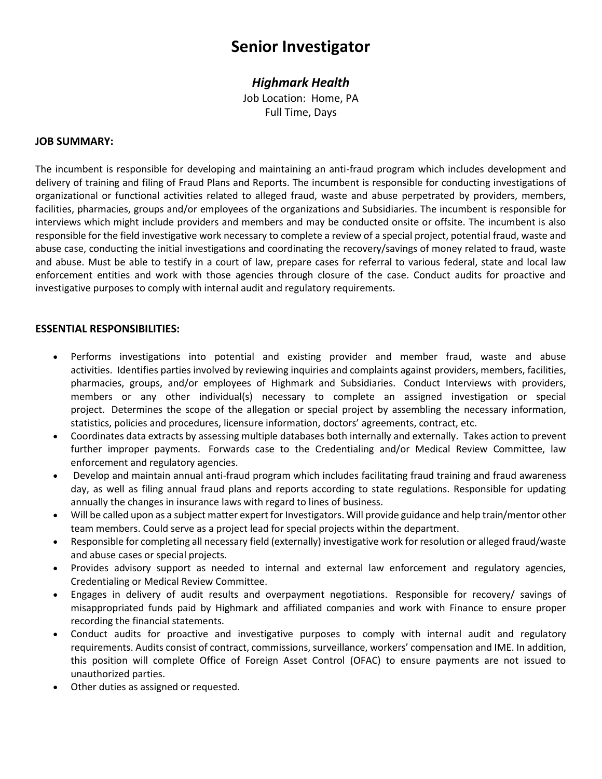# **Senior Investigator**

## *Highmark Health*

Job Location: Home, PA Full Time, Days

#### **JOB SUMMARY:**

The incumbent is responsible for developing and maintaining an anti-fraud program which includes development and delivery of training and filing of Fraud Plans and Reports. The incumbent is responsible for conducting investigations of organizational or functional activities related to alleged fraud, waste and abuse perpetrated by providers, members, facilities, pharmacies, groups and/or employees of the organizations and Subsidiaries. The incumbent is responsible for interviews which might include providers and members and may be conducted onsite or offsite. The incumbent is also responsible for the field investigative work necessary to complete a review of a special project, potential fraud, waste and abuse case, conducting the initial investigations and coordinating the recovery/savings of money related to fraud, waste and abuse. Must be able to testify in a court of law, prepare cases for referral to various federal, state and local law enforcement entities and work with those agencies through closure of the case. Conduct audits for proactive and investigative purposes to comply with internal audit and regulatory requirements.

#### **ESSENTIAL RESPONSIBILITIES:**

- Performs investigations into potential and existing provider and member fraud, waste and abuse activities. Identifies parties involved by reviewing inquiries and complaints against providers, members, facilities, pharmacies, groups, and/or employees of Highmark and Subsidiaries. Conduct Interviews with providers, members or any other individual(s) necessary to complete an assigned investigation or special project. Determines the scope of the allegation or special project by assembling the necessary information, statistics, policies and procedures, licensure information, doctors' agreements, contract, etc.
- Coordinates data extracts by assessing multiple databases both internally and externally. Takes action to prevent further improper payments. Forwards case to the Credentialing and/or Medical Review Committee, law enforcement and regulatory agencies.
- Develop and maintain annual anti-fraud program which includes facilitating fraud training and fraud awareness day, as well as filing annual fraud plans and reports according to state regulations. Responsible for updating annually the changes in insurance laws with regard to lines of business.
- Will be called upon as a subject matter expert for Investigators. Will provide guidance and help train/mentor other team members. Could serve as a project lead for special projects within the department.
- Responsible for completing all necessary field (externally) investigative work for resolution or alleged fraud/waste and abuse cases or special projects.
- Provides advisory support as needed to internal and external law enforcement and regulatory agencies, Credentialing or Medical Review Committee.
- Engages in delivery of audit results and overpayment negotiations. Responsible for recovery/ savings of misappropriated funds paid by Highmark and affiliated companies and work with Finance to ensure proper recording the financial statements.
- Conduct audits for proactive and investigative purposes to comply with internal audit and regulatory requirements. Audits consist of contract, commissions, surveillance, workers' compensation and IME. In addition, this position will complete Office of Foreign Asset Control (OFAC) to ensure payments are not issued to unauthorized parties.
- Other duties as assigned or requested.